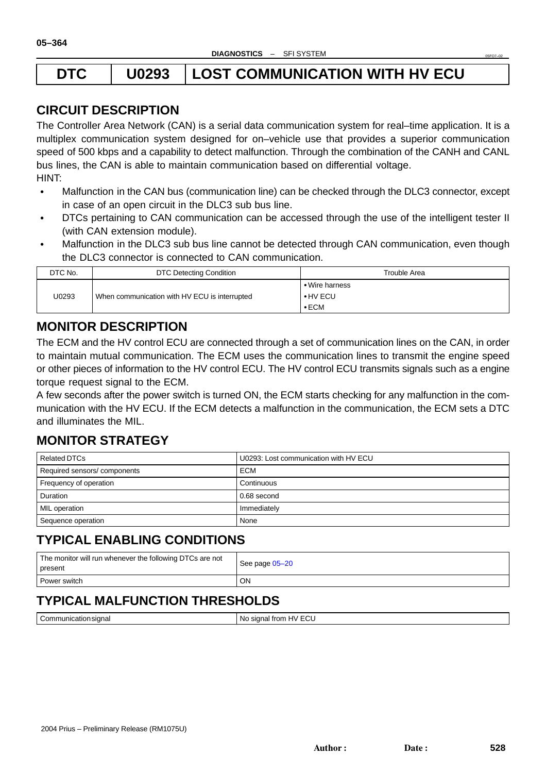# <span id="page-0-0"></span>**DTC U0293 LOST COMMUNICATION WITH HV ECU**

# **CIRCUIT DESCRIPTION**

The Controller Area Network (CAN) is a serial data communication system for real–time application. It is a multiplex communication system designed for on–vehicle use that provides a superior communication speed of 500 kbps and a capability to detect malfunction. Through the combination of the CANH and CANL bus lines, the CAN is able to maintain communication based on differential voltage. HINT:

- $\bullet$  Malfunction in the CAN bus (communication line) can be checked through the DLC3 connector, except in case of an open circuit in the DLC3 sub bus line.
- $\bullet$  DTCs pertaining to CAN communication can be accessed through the use of the intelligent tester II (with CAN extension module).
- Malfunction in the DLC3 sub bus line cannot be detected through CAN communication, even though the DLC3 connector is connected to CAN communication.

| DTC No. | DTC Detecting Condition                       | Trouble Area                                      |
|---------|-----------------------------------------------|---------------------------------------------------|
| U0293   | When communication with HV ECU is interrupted | • Wire harness<br>$\bullet$ HV ECU<br>$\cdot$ ECM |

## **MONITOR DESCRIPTION**

The ECM and the HV control ECU are connected through a set of communication lines on the CAN, in order to maintain mutual communication. The ECM uses the communication lines to transmit the engine speed or other pieces of information to the HV control ECU. The HV control ECU transmits signals such as a engine torque request signal to the ECM.

A few seconds after the power switch is turned ON, the ECM starts checking for any malfunction in the communication with the HV ECU. If the ECM detects a malfunction in the communication, the ECM sets a DTC and illuminates the MIL.

# **MONITOR STRATEGY**

| Related DTCs                | U0293: Lost communication with HV ECU |
|-----------------------------|---------------------------------------|
| Required sensors/components | <b>ECM</b>                            |
| Frequency of operation      | Continuous                            |
| Duration                    | 0.68 second                           |
| MIL operation               | Immediately                           |
| Sequence operation          | None                                  |

### **TYPICAL ENABLING CONDITIONS**

| The monitor will run whenever the following DTCs are not<br>present | See page 05-20 |
|---------------------------------------------------------------------|----------------|
| Power switch                                                        | <b>ON</b>      |

# **TYPICAL MALFUNCTION THRESHOLDS**

| -<br>:ommuni<br>∖sıɑnal<br>nt:nn<br>waliui '<br>$\cdot$<br>$-$ | $\ddot{\sim}$<br>tron<br>No<br>⊸unnan<br>יי ד<br>◡└<br>$ -$<br>___<br>__ |
|----------------------------------------------------------------|--------------------------------------------------------------------------|

05FO7–02